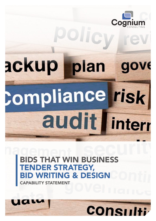

# ackup plan **Compliance risk** audit | interr

**IAT WIN BUSINESS** DER STRATEGY, ING & DESIGN

CAPABILITY STATEMENT

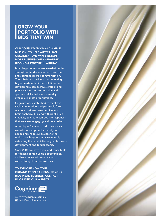#### GROW YOUR PORTFOLIO WITH BIDS THAT WIN

#### OUR CONSULTANCY HAS A SIMPLE MISSION: TO HELP AUSTRALIAN ORGANISATIONS WIN & RETAIN MORE BUSINESS WITH STRATEGIC BIDDING & POWERFUL WRITING

Most large contracts are awarded on the strength of tender responses, proposals and segment-tailored communication. Those bids win business by connecting buyer needs with bidder solutions. Yet developing a competitive strategy and persuasive written content demands specialist skills that are not readily available in most organisations.

Cognium was established to meet this challenge: tenders and proposals form our core business. We combine leftbrain analytical thinking with right-brain creativity to create competitive responses that are clear, engaging and persuasive.

A boutique, Sydney-based consultancy, we tailor our approach around your needs and shape our sevices to the scale of each opportunity, seamlessly extending the capabilities of your business development and tender teams.

Since 2007, we have been lead consultants for dozens of high-value opportunities, and have delivered on our vision with a string of impressive wins.

TO EXPLORE HOW YOUR ORGANISATION CAN ENSURE YOUR BIDS MEAN BUSINESS, CONTACT US OR VISIT OUR WEBSITE



www.cognium.com.au **M** info@cognium.com.au

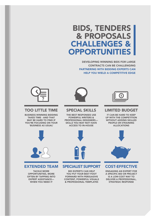## BIDS, TENDERS & PROPOSALS CHALLENGES & OPPORTUNITIES

DEVELOPING WINNING BIDS FOR LARGE CONTRACTS CAN BE CHALLENGING PARTNERING WITH BIDDING EXPERTS CAN HELP YOU WIELD A COMPETITIVE EDGE



#### TOO LITTLE TIME

BUSINESS-WINNING BIDDING TAKES TIME - AND THAT MAY BE HARD TO FIND IF YOU'RE FOCUSING ON YOUR 'BUSINESS AS USUAL'



#### SPECIAL SKILLS

THE BEST RESPONSES USE POWERFUL WRITERS & PROFESSIONAL DESIGNERS— SKILLS YOU MAY NOT HAVE ACCESS TO IN-HOUSE



#### LIMITED BUDGET

IT CAN BE HARD TO KEEP UP WITH THE COMPETITION WITHOUT ADDING SKILLED PEOPLE OR STRAINING ALLOCATIONS



#### EXTENDED TEAM

TACKLE MORE OPPORTUNITIES, MORE OFTEN BY TAPPING INTO EXPERT ASSISTANCE— WHEN YOU NEED IT



#### SPECIALIST SUPPORT

BID EXPERTS CAN HELP YOU PUT YOUR BEST FOOT FORWARD WITH PERSUASIVE CONTENT, POWERFUL VISUALS & PROFESSIONAL TEMPLATES



#### COST-EFFECTIVE

ENGAGING AN EXPERT FOR A SPECIFIC BID OR PROJECT IS A LOW-COST WAY TO DELIVER A PROFESSIONAL, STRATEGIC RESPONSE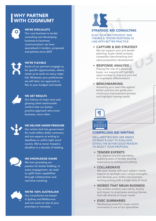## WHY PARTNER WITH COGNIUM?



#### WE'RE SPECIALISTS

Our core business is tender consulting and developing business-to-business communication: we have specialised in tenders, proposals and pitches since 2007.



#### WE'RE FLEXIBLE

Some of our partners engage us for specific opportunities, others retain us to work on every major bid. Whatever your preferences we will tailor our approach to flex to your budget and needs.



#### WE GET RESULTS

Our history of major wins and glowing client testimonials confirm that our betterpractice approach wins more business, more often.



#### WE DELIVER UNDER PRESSURE Our writers bid into government

for multi-million dollar contracts, and are experts at writing to deadlines or within tight word counts. We've never missed a deadline in a decade of bidding.



#### WE KNOWLEDGE SHARE

We love spreading our passion for better bidding. In every engagement, we seek to uplift team capabilities through colloboration and real-time coaching.



#### WE'RE 100% AUSTRALIAN Our consultants are based in Sydney and Melbourne and can work on-site at your premises or remotely.

#### STRATEGIC BID CONSULTING

PLAN YOUR BID STRATEGY, WIN THEMES & TENDER RESPONSE IN LINE WITH BETTER PRACTICE

• CAPTURE & BID STRATEGY We can support your pre-tender planning, buyer needs analysis, competitor benchmarking and value proposition development

• RESPONSE ANALYSIS Playing the role of a skeptical buyer, our experts will highlight opportunities to improve your bid to emphasise differentiators

#### • BENCHMARKING

Assessing your past bids against better practice can guide your continuous improvement process and highlight training needs



#### COMPELLING BID WRITING

WELL-WRITTEN BIDS ARE SIMPLE TO READ & EASY TO EVALUATE, GIVING THE BUYER GOOD REASON TO SELECT YOUR PROPOSAL

#### • TENDER EXPERTS

Our experts are bid specialists, applying years of tender-winning experience to writing and editing

#### • COLLABORATE

We work closely with your subject matter experts to spotlight your unique strengths and develop your drafts into businesswinning writing with a single tone of voice

- WORDS THAT MEAN BUSINESS Our written content uses clarity, brevity and impact to emphasise winning themes that talk directly to buyer needs
- **EXEC SUMMARIES** Developing powerful, buyer-centric summaries is one of our specialties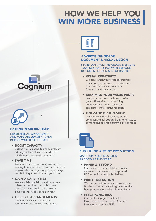# HOW WE HELP YOU WIN MORE BUSINESS



#### EXTEND YOUR BID TEAM

NEVER MISS AN OPPORTUNITY AND MAINTAIN QUALITY – EVEN DURING YOUR BUSIEST TIMES

#### • BOOST CAPACITY

Extend your existing teams seamlessly, adding additional skilled hands and minds when you need them most

• SAVE TIME

Outsource time-consuming writing and editing to our writers, so you can focus on value-adds, shaping your pricing strategy and building innovation into your offer

• GAIN A SAFETY NET

We are crisis specialists and have never missed a deadline: during bid time our core hours are 24 hours, seven days per week, 365 days per year

• FLEXIBLE ARRANGEMENTS Our specialists can work either remotely or on-site with your teams



#### ADVERTISING-GRADE DOCUMENT & VISUAL DESIGN

STAND OUT FROM THE CROWD & ENSURE YOUR KEY POINTS POP WITH BESPOKE DOCUMENT DESIGN & INFOGRAPHICS

- • VISUAL CREATIVITY We can rework your existing graphics, transform your rough pencil sketches or even create visual concepts from your written content
- MAXIMISE YOUR VALUE PROPS We know how to visually emphasise your differentiators - remaining compliant even when response templates limit creative freedom

#### • ONE-STOP DESIGN SHOP

We can provide full-service, brandcompliant visual design, from templates to content styling and diagram development



#### PUBLISHING & PRINT PRODUCTION

MAKE SURE YOUR BIDS LOOK AS GOOD AS THEY READ

• PAPER & BEYOND Our designers create folders, boxes, clamshells and even custom-printed

USB sticks for major submissions

#### • PRINT PERFECTION

We partner with Australia's most-trusted tender print-specialists to guarantee the best print quality and on-time fulfilment

#### **• ELECTRONIC BIDS**

Our publishing gurus will build links, bookmarks and other features into your interactive PDFs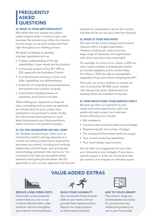### **FREQUENTLY** ASKED **QUESTIONS**

#### Q: WHAT IS YOUR METHODOLOGY?

We realise that your people are subject matter experts when it comes to your core business, the solutions you offer, the industry and the buyer, so we work closely with them right throughout our bidding process.

We begin by helping to develop vital key ingredients such as:

- A deep understanding of the key stakeholders, buyer needs and hot buttons
- • A thorough analysis of the RFT, RFP or EOI, especially the Evaluation Criteria
- A comprehensive summary of your core offer, capabilities and differentiators
- A handful of compelling value propositions that position your solution uniquely
- • Initial drafts including answers to questions, proof points and data

While editing your responses so they are clear, compelling and accurate, we generate win themes that link your unique value propositions to your buyer's needs. Finally, we craft an executive summary or cover letter that presents your key propositions within a succinct and powerful synopsis.

#### Q: DO YOU GUARANTEE WE WILL WIN?

No. Besides unstated buyer intent (such as 'testing the market') winning depends on a number of critical success factors beyond the document you submit, including your existing relationship with the buyer, your pricing and value strategy, perceived risks and so on. Our consultants can help you strengthen these elements during the pre-bid phase. We DO guarantee to use a proven approach that has won business for organisations across the country and that will let you put your best foot forward.

#### Q: WHAT IS YOUR WIN RATE?

Win rate can be a vital strategic performance measure within a single organisation. However, tracking win rates across the large range of industries and organisations with whom we work is less meaningful.

For example, for some of our clients, a 60% win rate in some markets is strategically healthy as it builds capability and/or relationships. For others, a 90% win rate is unacceptable especially if they had a hand in shaping the RFT.

That said, our writers maintain an overall win rate of around the 80-85% mark, tracked over the past ten years. References from existing clients are available on request.

#### Q: HOW MUCH DOES YOUR SERVICE COST?

Because we tailor our approach to your needs and to the opportunity, costs vary widely with each project we undertake. Factors affecting cost include:

- Bid complexity
- • Contract value and associated pursuit budget
- Response length and number of stages
- The standard of the written draft you supply
- Your current tendering capabilities
- • Your visual design requirements

We can tailor our engagement to your task, your timescale or your budgets. If you have a specific project in mind, we recommend that you contact us to request an indicative quote.



REDUCE LONG-TERM COSTS

Great bids contain powerful content that you can re-use in future bids and other sales material, and can strengthen your internal communications



VALUE-ADDED EXTRAS

#### BUILD YOUR CAPABILITY

Our consultants freely transfer skills to your teams and we provide Post Implementation Reports for large projects to share lessons learned

ADD TO YOUR LIBRARY

The content, diagrams and templates we create for you become your intellectual property to use in your future bids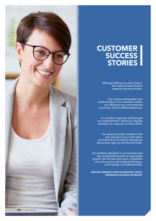

## **CUSTOMER SUCCESS** STORIES

*Although different to past tenders, this response was the best response we have written.* 

*Your unique writing talent and understanding of our business enables our offering to be communicated succinctly, and in a differentiated way.* 

*An excellent response: well thought out and presented - [there is] a big gap between our response and the others.*

*You were personally invested in this bid, and gave it your best with a commitment to excellence throughout the process right up until the final edits.*

*You instilled a discipline in our business that has contributed towards an exponential growth over the past two years, a discipline that is focused on the needs of the buyer, proof points, and differentiation.*

GENUINE COMMENTS FROM DE-IDENTIFIED CLIENTS, REFERENCES AVAILABLE ON REQUEST